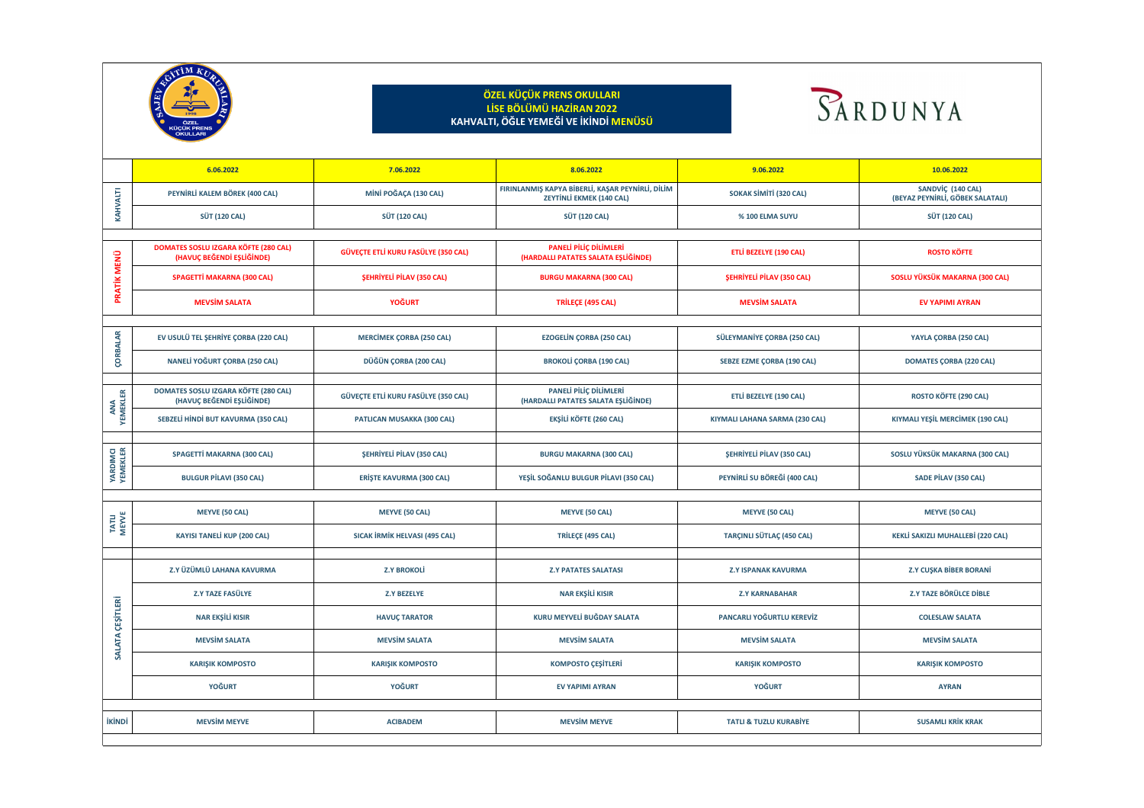**SANDVİÇ (140 CAL) (BEYAZ PEYNİRLİ, GÖBEK SALATALI)**

**SOSLU YÜKSÜK MAKARNA (300 CAL)** 

 $Y$ AYLA ÇORBA (250 CAL)

 $\blacksquare$  **DOMATES ÇORBA (220 CAL)** 

**ETLİ BEZELYE (190 CAL) ROSTO KÖFTE (290 CAL)**

**KIYMALI YEŞİL MERCİMEK (190 CAL)** 

**SOSLU YÜKSÜK MAKARNA (300 CAL)** 

**KEKLİ SAKIZLI MUHALLEBİ (220 CAL)** 

|                                                                  | ÖZEL<br><b>KÜÇÜK PRENS</b><br>OKULLARI                                   |                                     | ÖZEL KÜÇÜK PRENS OKULLARI<br>LİSE BÖLÜMÜ HAZİRAN 2022<br>KAHVALTI, ÖĞLE YEMEĞİ VE İKİNDİ MENÜSÜ |                                   |                                                        |
|------------------------------------------------------------------|--------------------------------------------------------------------------|-------------------------------------|-------------------------------------------------------------------------------------------------|-----------------------------------|--------------------------------------------------------|
|                                                                  | 6.06.2022                                                                | 7.06.2022                           | 8.06.2022                                                                                       | 9.06.2022                         | 10.06.2022                                             |
|                                                                  | PEYNİRLİ KALEM BÖREK (400 CAL)                                           | MİNİ POĞAÇA (130 CAL)               | FIRINLANMIŞ KAPYA BİBERLİ, KAŞAR PEYNİRLİ, DİLİM<br><b>ZEYTİNLİ EKMEK (140 CAL)</b>             | SOKAK SİMİTİ (320 CAL)            | <b>SANDVİÇ (140 CAL)</b><br>(BEYAZ PEYNİRLİ, GÖBEK SAI |
|                                                                  | <b>SÜT (120 CAL)</b>                                                     | <b>SÜT (120 CAL)</b>                | <b>SÜT (120 CAL)</b>                                                                            | <b>% 100 ELMA SUYU</b>            | <b>SÜT (120 CAL)</b>                                   |
| ்ப<br>$\blacktriangleright$                                      | <b>DOMATES SOSLU IZGARA KÖFTE (280 CAL)</b><br>(HAVUÇ BEĞENDİ EŞLİĞİNDE) | GÜVEÇTE ETLİ KURU FASÜLYE (350 CAL) | <b>PANELİ PİLİÇ DİLİMLERİ</b><br>(HARDALLI PATATES SALATA EŞLİĞİNDE)                            | <b>ETLİ BEZELYE (190 CAL)</b>     | <b>ROSTO KÖFTE</b>                                     |
|                                                                  | <b>SPAGETTİ MAKARNA (300 CAL)</b>                                        | <b>ŞEHRİYELİ PİLAV (350 CAL)</b>    | <b>BURGU MAKARNA (300 CAL)</b>                                                                  | <b>ŞEHRİYELİ PİLAV (350 CAL)</b>  | <b>SOSLU YÜKSÜK MAKARNA (3</b>                         |
|                                                                  | <b>MEVSİM SALATA</b>                                                     | <b>YOĞURT</b>                       | <b>TRİLEÇE (495 CAL)</b>                                                                        | <b>MEVSIM SALATA</b>              | EV YAPIMI AYRAN                                        |
| $\mathbf{R}$                                                     | EV USULÜ TEL ŞEHRİYE ÇORBA (220 CAL)                                     | <b>MERCİMEK ÇORBA (250 CAL)</b>     | <b>EZOGELİN ÇORBA (250 CAL)</b>                                                                 | SÜLEYMANİYE ÇORBA (250 CAL)       | YAYLA ÇORBA (250 CAI                                   |
|                                                                  | NANELİ YOĞURT ÇORBA (250 CAL)                                            | DÜĞÜN ÇORBA (200 CAL)               | <b>BROKOLİ ÇORBA (190 CAL)</b>                                                                  | <b>SEBZE EZME ÇORBA (190 CAL)</b> | <b>DOMATES ÇORBA (220 C</b>                            |
| E<br><b>ANA<br/>EMEKL</b>                                        | <b>DOMATES SOSLU IZGARA KÖFTE (280 CAL)</b><br>(HAVUÇ BEĞENDİ EŞLİĞİNDE) | GÜVEÇTE ETLİ KURU FASÜLYE (350 CAL) | PANELİ PİLİÇ DİLİMLERİ<br>(HARDALLI PATATES SALATA EŞLİĞİNDE)                                   | <b>ETLİ BEZELYE (190 CAL)</b>     | <b>ROSTO KÖFTE (290 CAI</b>                            |
|                                                                  | SEBZELİ HİNDİ BUT KAVURMA (350 CAL)                                      | <b>PATLICAN MUSAKKA (300 CAL)</b>   | <b>EKŞİLİ KÖFTE (260 CAL)</b>                                                                   | KIYMALI LAHANA SARMA (230 CAL)    | KIYMALI YEŞİL MERCİMEK (1                              |
| <b>DIMCI</b><br>IEKLER<br><b>ARI</b><br>EM                       | SPAGETTİ MAKARNA (300 CAL)                                               | <b>ŞEHRİYELİ PİLAV (350 CAL)</b>    | <b>BURGU MAKARNA (300 CAL)</b>                                                                  | <b>ŞEHRİYELİ PİLAV (350 CAL)</b>  | SOSLU YÜKSÜK MAKARNA (3                                |
|                                                                  | <b>BULGUR PİLAVI (350 CAL)</b>                                           | <b>ERİŞTE KAVURMA (300 CAL)</b>     | YEŞİL SOĞANLU BULGUR PİLAVI (350 CAL)                                                           | PEYNİRLİ SU BÖREĞİ (400 CAL)      | SADE PİLAV (350 CAL)                                   |
| $\Xi$ 5                                                          | <b>MEYVE (50 CAL)</b>                                                    | <b>MEYVE (50 CAL)</b>               | <b>MEYVE (50 CAL)</b>                                                                           | <b>MEYVE (50 CAL)</b>             | <b>MEYVE (50 CAL)</b>                                  |
|                                                                  | KAYISI TANELİ KUP (200 CAL)                                              | SICAK İRMİK HELVASI (495 CAL)       | <b>TRİLEÇE (495 CAL)</b>                                                                        | <b>TARÇINLI SÜTLAÇ (450 CAL)</b>  | KEKLİ SAKIZLI MUHALLEBİ (2                             |
| $\overline{\mathbf{r}}$<br><u>iŞa</u><br>$\overline{\mathbf{C}}$ | Z.Y ÜZÜMLÜ LAHANA KAVURMA                                                | <b>Z.Y BROKOLİ</b>                  | <b>Z.Y PATATES SALATASI</b>                                                                     | <b>Z.Y ISPANAK KAVURMA</b>        | Z.Y CUŞKA BİBER BORA                                   |
|                                                                  | <b>Z.Y TAZE FASÜLYE</b>                                                  | <b>Z.Y BEZELYE</b>                  | <b>NAR EKŞİLİ KISIR</b>                                                                         | <b>Z.Y KARNABAHAR</b>             | Z.Y TAZE BÖRÜLCE DİBI                                  |
|                                                                  | <b>NAR EKŞİLİ KISIR</b>                                                  | <b>HAVUÇ TARATOR</b>                | KURU MEYVELİ BUĞDAY SALATA                                                                      | PANCARLI YOĞURTLU KEREVİZ         | <b>COLESLAW SALATA</b>                                 |
|                                                                  | <b>MEVSIM SALATA</b>                                                     | <b>MEVSIM SALATA</b>                | <b>MEVSİM SALATA</b>                                                                            | <b>MEVSİM SALATA</b>              | <b>MEVSIM SALATA</b>                                   |
|                                                                  | <b>KARIŞIK KOMPOSTO</b>                                                  | <b>KARIŞIK KOMPOSTO</b>             | <b>KOMPOSTO ÇEŞİTLERİ</b>                                                                       | <b>KARIŞIK KOMPOSTO</b>           | <b>KARIŞIK KOMPOSTO</b>                                |
|                                                                  | YOĞURT                                                                   | YOĞURT                              | EV YAPIMI AYRAN                                                                                 | <b>YOĞURT</b>                     | <b>AYRAN</b>                                           |
| <b>İKİNDİ</b>                                                    | <b>MEVSİM MEYVE</b>                                                      | <b>ACIBADEM</b>                     | <b>MEVSİM MEYVE</b>                                                                             | <b>TATLI &amp; TUZLU KURABİYE</b> | <b>SUSAMLI KRİK KRAK</b>                               |



# RDUNYA

**Z.Y ÜZÜMLÜ LAHANA KAVURMA Z.Y BROKOLİ Z.Y PATATES SALATASI Z.Y ISPANAK KAVURMA Z.Y CUŞKA BİBER BORANİ**

**Z.Y TAZE FASÜLYE Z.Y BEZELYE NAR EKŞİLİ KISIR Z.Y KARNABAHAR Z.Y TAZE BÖRÜLCE DİBLE**